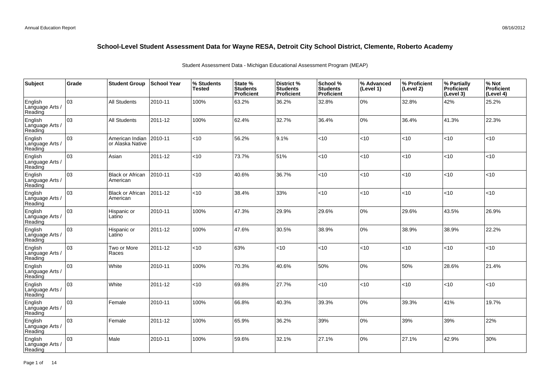| <b>Subject</b>                        | Grade | <b>Student Group</b>                | School Year | % Students<br><b>Tested</b> | State %<br><b>Students</b><br>Proficient | District %<br><b>Students</b><br><b>Proficient</b> | School %<br><b>Students</b><br><b>Proficient</b> | % Advanced<br>(Level 1) | % Proficient<br>(Level 2) | % Partially<br>Proficient<br>(Level 3) | % Not<br>Proficient<br>(Level 4) |
|---------------------------------------|-------|-------------------------------------|-------------|-----------------------------|------------------------------------------|----------------------------------------------------|--------------------------------------------------|-------------------------|---------------------------|----------------------------------------|----------------------------------|
| English<br>Language Arts /<br>Reading | 03    | <b>All Students</b>                 | 2010-11     | 100%                        | 63.2%                                    | 36.2%                                              | 32.8%                                            | $0\%$                   | 32.8%                     | 42%                                    | 25.2%                            |
| English<br>Language Arts /<br>Reading | 03    | <b>All Students</b>                 | 2011-12     | 100%                        | 62.4%                                    | 32.7%                                              | 36.4%                                            | $0\%$                   | 36.4%                     | 41.3%                                  | 22.3%                            |
| English<br>Language Arts /<br>Reading | 03    | American Indian<br>or Alaska Native | 2010-11     | <10                         | 56.2%                                    | 9.1%                                               | < 10                                             | <10                     | $<$ 10                    | < 10                                   | <10                              |
| English<br>Language Arts /<br>Reading | 03    | Asian                               | 2011-12     | <10                         | 73.7%                                    | 51%                                                | <10                                              | <10                     | $10^{-1}$                 | <10                                    | <10                              |
| English<br>Language Arts /<br>Reading | 03    | <b>Black or African</b><br>American | 2010-11     | $<$ 10                      | 40.6%                                    | 36.7%                                              | < 10                                             | <10                     | <10                       | < 10                                   | <10                              |
| English<br>Language Arts<br>Reading   | 03    | <b>Black or African</b><br>American | 2011-12     | <10                         | 38.4%                                    | 33%                                                | <10                                              | <10                     | <10                       | <10                                    | <10                              |
| English<br>Language Arts /<br>Reading | 03    | Hispanic or<br>Latino               | 2010-11     | 100%                        | 47.3%                                    | 29.9%                                              | 29.6%                                            | 0%                      | 29.6%                     | 43.5%                                  | 26.9%                            |
| English<br>Language Arts<br>Reading   | 03    | Hispanic or<br>Latino               | 2011-12     | 100%                        | 47.6%                                    | 30.5%                                              | 38.9%                                            | 0%                      | 38.9%                     | 38.9%                                  | 22.2%                            |
| English<br>Language Arts<br>Reading   | 03    | Two or More<br>Races                | 2011-12     | <10                         | 63%                                      | <10                                                | < 10                                             | <10                     | <10                       | < 10                                   | <10                              |
| English<br>Language Arts<br>Reading   | 03    | White                               | 2010-11     | 100%                        | 70.3%                                    | 40.6%                                              | 50%                                              | 0%                      | 50%                       | 28.6%                                  | 21.4%                            |
| English<br>Language Arts<br>Reading   | 03    | White                               | 2011-12     | $<$ 10                      | 69.8%                                    | 27.7%                                              | < 10                                             | <10                     | < 10                      | $ $ < 10                               | $<$ 10                           |
| English<br>Language Arts<br>Reading   | 03    | Female                              | 2010-11     | 100%                        | 66.8%                                    | 40.3%                                              | 39.3%                                            | $0\%$                   | 39.3%                     | 41%                                    | 19.7%                            |
| English<br>Language Arts<br>Reading   | 03    | Female                              | 2011-12     | 100%                        | 65.9%                                    | 36.2%                                              | 39%                                              | 0%                      | 39%                       | 39%                                    | 22%                              |
| English<br>Language Arts<br>Reading   | 03    | Male                                | 2010-11     | 100%                        | 59.6%                                    | 32.1%                                              | 27.1%                                            | 0%                      | 27.1%                     | 42.9%                                  | 30%                              |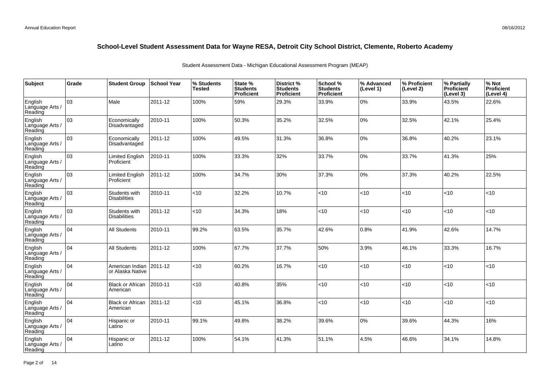| Subject                               | Grade | <b>Student Group</b>                 | <b>School Year</b> | % Students<br><b>Tested</b> | State %<br><b>Students</b><br><b>Proficient</b> | District %<br><b>Students</b><br>Proficient | School %<br><b>Students</b><br><b>Proficient</b> | % Advanced<br>(Level 1) | % Proficient<br>(Level 2) | % Partially<br>Proficient<br>(Level 3) | % Not<br>Proficient<br>(Level 4) |
|---------------------------------------|-------|--------------------------------------|--------------------|-----------------------------|-------------------------------------------------|---------------------------------------------|--------------------------------------------------|-------------------------|---------------------------|----------------------------------------|----------------------------------|
| English<br>Language Arts /<br>Reading | 03    | Male                                 | 2011-12            | 100%                        | 59%                                             | 29.3%                                       | 33.9%                                            | 0%                      | 33.9%                     | 43.5%                                  | 22.6%                            |
| English<br>Language Arts /<br>Reading | 03    | Economically<br>Disadvantaged        | 2010-11            | 100%                        | 50.3%                                           | 35.2%                                       | 32.5%                                            | 0%                      | 32.5%                     | 42.1%                                  | 25.4%                            |
| English<br>Language Arts /<br>Reading | lоз   | Economically<br>Disadvantaged        | 2011-12            | 100%                        | 49.5%                                           | 31.3%                                       | 36.8%                                            | 0%                      | 36.8%                     | 40.2%                                  | 23.1%                            |
| English<br>Language Arts /<br>Reading | 03    | Limited English<br>Proficient        | 2010-11            | 100%                        | 33.3%                                           | 32%                                         | 33.7%                                            | 0%                      | 33.7%                     | 41.3%                                  | 25%                              |
| English<br>Language Arts /<br>Reading | 03    | Limited English<br>Proficient        | 2011-12            | 100%                        | 34.7%                                           | 30%                                         | 37.3%                                            | 0%                      | 37.3%                     | 40.2%                                  | 22.5%                            |
| English<br>Language Arts /<br>Reading | 03    | Students with<br><b>Disabilities</b> | 2010-11            | <10                         | 32.2%                                           | 10.7%                                       | < 10                                             | <10                     | < 10                      | < 10                                   | <10                              |
| English<br>Language Arts /<br>Reading | 03    | Students with<br><b>Disabilities</b> | 2011-12            | <10                         | 34.3%                                           | 18%                                         | < 10                                             | <10                     | $<$ 10                    | < 10                                   | <10                              |
| English<br>Language Arts /<br>Reading | 04    | <b>All Students</b>                  | 2010-11            | 99.2%                       | 63.5%                                           | 35.7%                                       | 42.6%                                            | 0.8%                    | 41.9%                     | 42.6%                                  | 14.7%                            |
| English<br>Language Arts /<br>Reading | 04    | <b>All Students</b>                  | 2011-12            | 100%                        | 67.7%                                           | 37.7%                                       | 50%                                              | 3.9%                    | 46.1%                     | 33.3%                                  | 16.7%                            |
| English<br>Language Arts /<br>Reading | 04    | American Indian<br>or Alaska Native  | 2011-12            | <10                         | 60.2%                                           | 16.7%                                       | <10                                              | < 10                    | < 10                      | < 10                                   | <10                              |
| English<br>Language Arts /<br>Reading | 104   | <b>Black or African</b><br>American  | 2010-11            | <10                         | 40.8%                                           | 35%                                         | <10                                              | < 10                    | < 10                      | <10                                    | <10                              |
| English<br>Language Arts /<br>Reading | 104   | <b>Black or African</b><br>American  | 2011-12            | <10                         | 45.1%                                           | 36.8%                                       | <10                                              | < 10                    | <10                       | <10                                    | <10                              |
| English<br>Language Arts /<br>Reading | 104   | Hispanic or<br>Latino                | 2010-11            | 99.1%                       | 49.8%                                           | 38.2%                                       | 39.6%                                            | 0%                      | 39.6%                     | 44.3%                                  | 16%                              |
| English<br>Language Arts<br>Reading   | 04    | Hispanic or<br>Latino                | 2011-12            | 100%                        | 54.1%                                           | 41.3%                                       | 51.1%                                            | 4.5%                    | 46.6%                     | 34.1%                                  | 14.8%                            |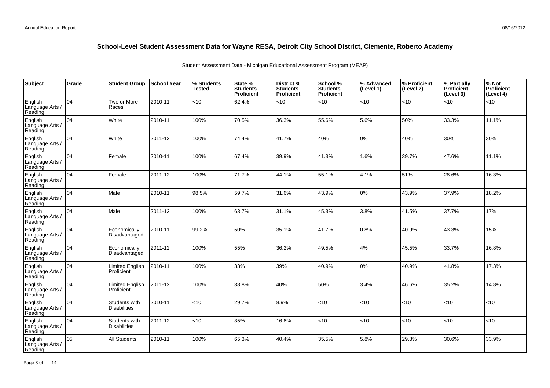| Subject                               | Grade | <b>Student Group</b>                 | <b>School Year</b> | % Students<br><b>Tested</b> | State %<br><b>Students</b><br><b>Proficient</b> | District %<br><b>Students</b><br><b>Proficient</b> | School %<br><b>Students</b><br><b>Proficient</b> | % Advanced<br>(Level 1) | ∣% Proficient<br>(Level 2) | % Partially<br><b>Proficient</b><br>(Level 3) | % Not<br>Proficient<br>(Level 4) |
|---------------------------------------|-------|--------------------------------------|--------------------|-----------------------------|-------------------------------------------------|----------------------------------------------------|--------------------------------------------------|-------------------------|----------------------------|-----------------------------------------------|----------------------------------|
| English<br>Language Arts /<br>Reading | 04    | Two or More<br>Races                 | 2010-11            | <10                         | 62.4%                                           | < 10                                               | <10                                              | < 10                    | < 10                       | < 10                                          | <10                              |
| English<br>Language Arts /<br>Reading | 04    | White                                | 2010-11            | 100%                        | 70.5%                                           | 36.3%                                              | 55.6%                                            | 5.6%                    | 50%                        | 33.3%                                         | 11.1%                            |
| English<br>Language Arts /<br>Reading | 04    | White                                | 2011-12            | 100%                        | 74.4%                                           | 41.7%                                              | 40%                                              | 10%                     | 40%                        | 30%                                           | 30%                              |
| English<br>Language Arts /<br>Reading | 04    | Female                               | 2010-11            | 100%                        | 67.4%                                           | 39.9%                                              | 41.3%                                            | 1.6%                    | 39.7%                      | 47.6%                                         | 11.1%                            |
| English<br>Language Arts /<br>Reading | 04    | Female                               | 2011-12            | 100%                        | 71.7%                                           | 44.1%                                              | 55.1%                                            | 4.1%                    | 51%                        | 28.6%                                         | 16.3%                            |
| English<br>Language Arts /<br>Reading | 04    | Male                                 | 2010-11            | 98.5%                       | 59.7%                                           | 31.6%                                              | 43.9%                                            | 10%                     | 43.9%                      | 37.9%                                         | 18.2%                            |
| English<br>Language Arts /<br>Reading | 04    | Male                                 | 2011-12            | 100%                        | 63.7%                                           | 31.1%                                              | 45.3%                                            | 3.8%                    | 41.5%                      | 37.7%                                         | 17%                              |
| English<br>Language Arts<br>Reading   | 04    | Economically<br>Disadvantaged        | 2010-11            | 99.2%                       | 50%                                             | 35.1%                                              | 41.7%                                            | 0.8%                    | 40.9%                      | 43.3%                                         | 15%                              |
| English<br>Language Arts /<br>Reading | 04    | Economically<br>Disadvantaged        | 2011-12            | 100%                        | 55%                                             | 36.2%                                              | 49.5%                                            | 4%                      | 45.5%                      | 33.7%                                         | 16.8%                            |
| English<br>Language Arts<br>Reading   | 04    | <b>Limited English</b><br>Proficient | 2010-11            | 100%                        | 33%                                             | 39%                                                | 40.9%                                            | 0%                      | 40.9%                      | 41.8%                                         | 17.3%                            |
| English<br>Language Arts /<br>Reading | 04    | <b>Limited English</b><br>Proficient | 2011-12            | 100%                        | 38.8%                                           | 40%                                                | 50%                                              | 3.4%                    | 46.6%                      | 35.2%                                         | 14.8%                            |
| English<br>Language Arts<br>Reading   | 04    | Students with<br><b>Disabilities</b> | 2010-11            | <10                         | 29.7%                                           | 8.9%                                               | <10                                              | < 10                    | < 10                       | < 10                                          | <10                              |
| English<br>Language Arts /<br>Reading | 04    | Students with<br><b>Disabilities</b> | 2011-12            | <10                         | 35%                                             | 16.6%                                              | <10                                              | < 10                    | < 10                       | < 10                                          | <10                              |
| English<br>Language Arts<br>Reading   | 05    | <b>All Students</b>                  | 2010-11            | 100%                        | 65.3%                                           | 40.4%                                              | 35.5%                                            | 5.8%                    | 29.8%                      | 30.6%                                         | 33.9%                            |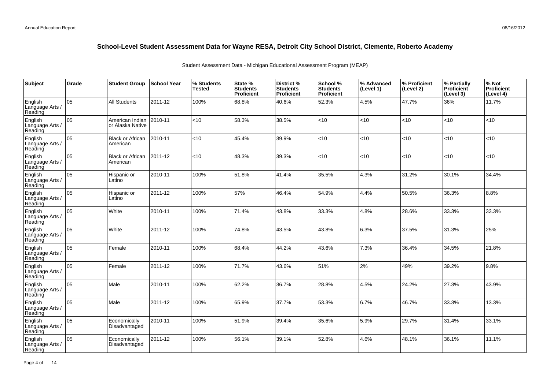| <b>Subject</b>                        | Grade | <b>Student Group</b>                | <b>School Year</b> | % Students<br><b>Tested</b> | State %<br><b>Students</b><br><b>Proficient</b> | District %<br><b>Students</b><br>Proficient | School %<br><b>Students</b><br><b>Proficient</b> | % Advanced<br>(Level 1) | % Proficient<br>(Level 2) | % Partially<br>Proficient<br>(Level 3) | % Not<br>Proficient<br>(Level 4) |
|---------------------------------------|-------|-------------------------------------|--------------------|-----------------------------|-------------------------------------------------|---------------------------------------------|--------------------------------------------------|-------------------------|---------------------------|----------------------------------------|----------------------------------|
| English<br>Language Arts /<br>Reading | 05    | <b>All Students</b>                 | 2011-12            | 100%                        | 68.8%                                           | 40.6%                                       | 52.3%                                            | 4.5%                    | 47.7%                     | 36%                                    | 11.7%                            |
| English<br>Language Arts /<br>Reading | 05    | American Indian<br>or Alaska Native | 2010-11            | <10                         | 58.3%                                           | 38.5%                                       | <10                                              | < 10                    | < 10                      | < 10                                   | <10                              |
| English<br>Language Arts /<br>Reading | 05    | <b>Black or African</b><br>American | 2010-11            | < 10                        | 45.4%                                           | 39.9%                                       | < 10                                             | <10                     | $<$ 10                    | < 10                                   | $<$ 10                           |
| English<br>Language Arts /<br>Reading | 05    | <b>Black or African</b><br>American | 2011-12            | <10                         | 48.3%                                           | 39.3%                                       | <10                                              | <10                     | < 10                      | < 10                                   | <10                              |
| English<br>Language Arts /<br>Reading | 05    | Hispanic or<br>Latino               | 2010-11            | 100%                        | 51.8%                                           | 41.4%                                       | 35.5%                                            | 4.3%                    | 31.2%                     | 30.1%                                  | 34.4%                            |
| English<br>Language Arts /<br>Reading | 05    | Hispanic or<br>Latino               | 2011-12            | 100%                        | 57%                                             | 46.4%                                       | 54.9%                                            | 4.4%                    | 50.5%                     | 36.3%                                  | 8.8%                             |
| English<br>Language Arts /<br>Reading | 05    | White                               | 2010-11            | 100%                        | 71.4%                                           | 43.8%                                       | 33.3%                                            | 4.8%                    | 28.6%                     | 33.3%                                  | 33.3%                            |
| English<br>Language Arts /<br>Reading | 05    | White                               | 2011-12            | 100%                        | 74.8%                                           | 43.5%                                       | 43.8%                                            | 6.3%                    | 37.5%                     | 31.3%                                  | 25%                              |
| English<br>Language Arts /<br>Reading | 05    | Female                              | 2010-11            | 100%                        | 68.4%                                           | 44.2%                                       | 43.6%                                            | 7.3%                    | 36.4%                     | 34.5%                                  | 21.8%                            |
| English<br>Language Arts /<br>Reading | 05    | Female                              | 2011-12            | 100%                        | 71.7%                                           | 43.6%                                       | 51%                                              | 2%                      | 49%                       | 39.2%                                  | 9.8%                             |
| English<br>Language Arts /<br>Reading | 05    | Male                                | 2010-11            | 100%                        | 62.2%                                           | 36.7%                                       | 28.8%                                            | 4.5%                    | 24.2%                     | 27.3%                                  | 43.9%                            |
| English<br>Language Arts /<br>Reading | 05    | Male                                | 2011-12            | 100%                        | 65.9%                                           | 37.7%                                       | 53.3%                                            | 6.7%                    | 46.7%                     | 33.3%                                  | 13.3%                            |
| English<br>Language Arts /<br>Reading | 05    | Economically<br>Disadvantaged       | 2010-11            | 100%                        | 51.9%                                           | 39.4%                                       | 35.6%                                            | 5.9%                    | 29.7%                     | 31.4%                                  | 33.1%                            |
| English<br>Language Arts<br>Reading   | 05    | Economically<br>Disadvantaged       | 2011-12            | 100%                        | 56.1%                                           | 39.1%                                       | 52.8%                                            | 4.6%                    | 48.1%                     | 36.1%                                  | 11.1%                            |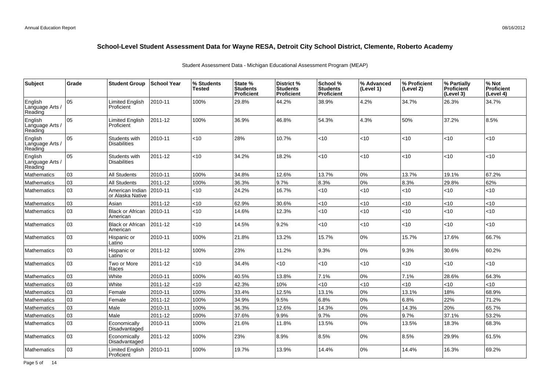| Subject                               | Grade | <b>Student Group</b>                 | <b>School Year</b> | % Students<br>Tested | State %<br><b>Students</b><br>Proficient | District %<br><b>Students</b><br><b>Proficient</b> | School %<br><b>Students</b><br><b>Proficient</b> | % Advanced<br>(Level 1) | % Proficient<br>(Level 2) | % Partially<br>Proficient<br>(Level 3) | % Not<br><b>Proficient</b><br>(Level 4) |
|---------------------------------------|-------|--------------------------------------|--------------------|----------------------|------------------------------------------|----------------------------------------------------|--------------------------------------------------|-------------------------|---------------------------|----------------------------------------|-----------------------------------------|
| English<br>Language Arts /<br>Reading | 05    | <b>Limited English</b><br>Proficient | 2010-11            | 100%                 | 29.8%                                    | 44.2%                                              | 38.9%                                            | 4.2%                    | 34.7%                     | 26.3%                                  | 34.7%                                   |
| English<br>Language Arts /<br>Reading | 05    | <b>Limited English</b><br>Proficient | 2011-12            | 100%                 | 36.9%                                    | 46.8%                                              | 54.3%                                            | 4.3%                    | 50%                       | 37.2%                                  | 8.5%                                    |
| English<br>Language Arts<br>Reading   | 05    | Students with<br><b>Disabilities</b> | 2010-11            | $<$ 10               | 28%                                      | 10.7%                                              | < 10                                             | <10                     | <10                       | < 10                                   | <10                                     |
| English<br>Language Arts /<br>Reading | 05    | Students with<br><b>Disabilities</b> | 2011-12            | $<$ 10               | 34.2%                                    | 18.2%                                              | < 10                                             | <10                     | < 10                      | < 10                                   | <10                                     |
| Mathematics                           | 03    | <b>All Students</b>                  | 2010-11            | 100%                 | 34.8%                                    | 12.6%                                              | 13.7%                                            | 0%                      | 13.7%                     | 19.1%                                  | 67.2%                                   |
| Mathematics                           | 03    | <b>All Students</b>                  | 2011-12            | 100%                 | 36.3%                                    | 9.7%                                               | 8.3%                                             | 0%                      | 8.3%                      | 29.8%                                  | 62%                                     |
| <b>Mathematics</b>                    | 03    | American Indian<br>or Alaska Native  | 2010-11            | $<$ 10               | 24.2%                                    | 16.7%                                              | <10                                              | <10                     | <10                       | $ $ < 10                               | <10                                     |
| Mathematics                           | 03    | Asian                                | 2011-12            | $<$ 10               | 62.9%                                    | 30.6%                                              | <10                                              | <10                     | <10                       | $<$ 10                                 | <10                                     |
| Mathematics                           | 03    | <b>Black or African</b><br>American  | 2010-11            | <10                  | 14.6%                                    | 12.3%                                              | < 10                                             | <10                     | <10                       | < 10                                   | <10                                     |
| <b>Mathematics</b>                    | 03    | <b>Black or African</b><br>American  | 2011-12            | $<$ 10               | 14.5%                                    | 9.2%                                               | <10                                              | <10                     | <10                       | <10                                    | <10                                     |
| <b>Mathematics</b>                    | 03    | Hispanic or<br>Latino                | 2010-11            | 100%                 | 21.8%                                    | 13.2%                                              | 15.7%                                            | $0\%$                   | 15.7%                     | 17.6%                                  | 66.7%                                   |
| Mathematics                           | 03    | Hispanic or<br>Latino                | 2011-12            | 100%                 | 23%                                      | 11.2%                                              | 9.3%                                             | 0%                      | 9.3%                      | 30.6%                                  | 60.2%                                   |
| Mathematics                           | 03    | Two or More<br>Races                 | 2011-12            | <10                  | 34.4%                                    | <10                                                | <10                                              | <10                     | <10                       | $<$ 10                                 | <10                                     |
| Mathematics                           | 03    | White                                | 2010-11            | 100%                 | 40.5%                                    | 13.8%                                              | 7.1%                                             | 0%                      | 7.1%                      | 28.6%                                  | 64.3%                                   |
| Mathematics                           | 03    | White                                | 2011-12            | <10                  | 42.3%                                    | 10%                                                | <10                                              | <10                     | <10                       | < 10                                   | <10                                     |
| <b>Mathematics</b>                    | 03    | Female                               | 2010-11            | 100%                 | 33.4%                                    | 12.5%                                              | 13.1%                                            | 0%                      | 13.1%                     | 18%                                    | 68.9%                                   |
| Mathematics                           | 03    | Female                               | 2011-12            | 100%                 | 34.9%                                    | 9.5%                                               | 6.8%                                             | 0%                      | 6.8%                      | 22%                                    | 71.2%                                   |
| Mathematics                           | 03    | Male                                 | 2010-11            | 100%                 | 36.3%                                    | 12.6%                                              | 14.3%                                            | $0\%$                   | 14.3%                     | 20%                                    | 65.7%                                   |
| <b>Mathematics</b>                    | 03    | Male                                 | 2011-12            | 100%                 | 37.6%                                    | 9.9%                                               | 9.7%                                             | 0%                      | 9.7%                      | 37.1%                                  | 53.2%                                   |
| <b>Mathematics</b>                    | 03    | Economically<br>Disadvantaged        | 2010-11            | 100%                 | 21.6%                                    | 11.8%                                              | 13.5%                                            | 0%                      | 13.5%                     | 18.3%                                  | 68.3%                                   |
| Mathematics                           | 03    | Economically<br>Disadvantaged        | 2011-12            | 100%                 | 23%                                      | 8.9%                                               | 8.5%                                             | 0%                      | 8.5%                      | 29.9%                                  | 61.5%                                   |
| <b>Mathematics</b>                    | 03    | Limited English<br>Proficient        | 2010-11            | 100%                 | 19.7%                                    | 13.9%                                              | 14.4%                                            | 0%                      | 14.4%                     | 16.3%                                  | 69.2%                                   |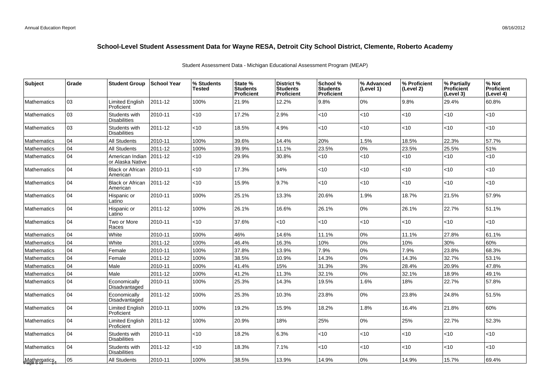| <b>Subject</b>           | Grade | <b>Student Group</b>                 | ∣School Year  | % Students<br>Tested | State %<br><b>Students</b><br><b>Proficient</b> | District %<br><b>Students</b><br><b>Proficient</b> | School %<br><b>Students</b><br><b>Proficient</b> | % Advanced<br>(Level 1) | % Proficient<br>(Level 2) | % Partially<br><b>Proficient</b><br>(Level 3) | % Not<br>Proficient<br>(Level 4) |
|--------------------------|-------|--------------------------------------|---------------|----------------------|-------------------------------------------------|----------------------------------------------------|--------------------------------------------------|-------------------------|---------------------------|-----------------------------------------------|----------------------------------|
| <b>Mathematics</b>       | 03    | <b>Limited English</b><br>Proficient | 2011-12       | 100%                 | 21.9%                                           | 12.2%                                              | 9.8%                                             | 0%                      | 9.8%                      | 29.4%                                         | 60.8%                            |
| <b>Mathematics</b>       | 03    | Students with<br><b>Disabilities</b> | 2010-11       | <10                  | 17.2%                                           | 2.9%                                               | <10                                              | <10                     | <10                       | <10                                           | <10                              |
| <b>Mathematics</b>       | 03    | Students with<br><b>Disabilities</b> | 2011-12       | $<$ 10               | 18.5%                                           | 4.9%                                               | <10                                              | < 10                    | <10                       | < 10                                          | <10                              |
| <b>Mathematics</b>       | 04    | <b>All Students</b>                  | 2010-11       | 100%                 | 39.6%                                           | 14.4%                                              | 20%                                              | 1.5%                    | 18.5%                     | 22.3%                                         | 57.7%                            |
| <b>Mathematics</b>       | 04    | <b>All Students</b>                  | 2011-12       | 100%                 | 39.9%                                           | 11.1%                                              | 23.5%                                            | 0%                      | 23.5%                     | 25.5%                                         | 51%                              |
| <b>Mathematics</b>       | 04    | American Indian<br>or Alaska Native  | $ 2011 - 12 $ | <10                  | 29.9%                                           | 30.8%                                              | < 10                                             | < 10                    | $<$ 10                    | <10                                           | <10                              |
| <b>Mathematics</b>       | 04    | <b>Black or African</b><br>American  | 2010-11       | <10                  | 17.3%                                           | 14%                                                | $<$ 10                                           | $<$ 10                  | <10                       | <10                                           | <10                              |
| <b>Mathematics</b>       | 04    | <b>Black or African</b><br>American  | 2011-12       | <10                  | 15.9%                                           | 9.7%                                               | <10                                              | < 10                    | <10                       | <10                                           | <10                              |
| <b>Mathematics</b>       | 04    | Hispanic or<br>Latino                | 2010-11       | 100%                 | 25.1%                                           | 13.3%                                              | 20.6%                                            | 1.9%                    | 18.7%                     | 21.5%                                         | 57.9%                            |
| <b>Mathematics</b>       | 04    | Hispanic or<br>Latino                | 2011-12       | 100%                 | 26.1%                                           | 16.6%                                              | 26.1%                                            | 0%                      | 26.1%                     | 22.7%                                         | 51.1%                            |
| <b>Mathematics</b>       | 04    | Two or More<br>Races                 | 2010-11       | $<$ 10               | 37.6%                                           | <10                                                | $<$ 10                                           | < 10                    | $<$ 10                    | <10                                           | $<$ 10                           |
| <b>Mathematics</b>       | 04    | White                                | 2010-11       | 100%                 | 46%                                             | 14.6%                                              | 11.1%                                            | 0%                      | 11.1%                     | 27.8%                                         | 61.1%                            |
| <b>Mathematics</b>       | 04    | White                                | 2011-12       | 100%                 | 46.4%                                           | 16.3%                                              | 10%                                              | 0%                      | 10%                       | 30%                                           | 60%                              |
| Mathematics              | 04    | Female                               | 2010-11       | 100%                 | 37.8%                                           | 13.9%                                              | 7.9%                                             | 0%                      | 7.9%                      | 23.8%                                         | 68.3%                            |
| <b>Mathematics</b>       | 04    | Female                               | 2011-12       | 100%                 | 38.5%                                           | 10.9%                                              | 14.3%                                            | 0%                      | 14.3%                     | 32.7%                                         | 53.1%                            |
| Mathematics              | 04    | Male                                 | 2010-11       | 100%                 | 41.4%                                           | 15%                                                | 31.3%                                            | 3%                      | 28.4%                     | 20.9%                                         | 47.8%                            |
| <b>Mathematics</b>       | 04    | Male                                 | 2011-12       | 100%                 | 41.2%                                           | 11.3%                                              | 32.1%                                            | 0%                      | 32.1%                     | 18.9%                                         | 49.1%                            |
| <b>Mathematics</b>       | 04    | Economically<br>Disadvantaged        | 2010-11       | 100%                 | 25.3%                                           | 14.3%                                              | 19.5%                                            | 1.6%                    | 18%                       | 22.7%                                         | 57.8%                            |
| <b>Mathematics</b>       | 04    | Economically<br>Disadvantaged        | 2011-12       | 100%                 | 25.3%                                           | 10.3%                                              | 23.8%                                            | $0\%$                   | 23.8%                     | 24.8%                                         | 51.5%                            |
| <b>Mathematics</b>       | 04    | <b>Limited English</b><br>Proficient | 2010-11       | 100%                 | 19.2%                                           | 15.9%                                              | 18.2%                                            | 1.8%                    | 16.4%                     | 21.8%                                         | 60%                              |
| <b>Mathematics</b>       | 04    | <b>Limited English</b><br>Proficient | $ 2011 - 12 $ | 100%                 | 20.9%                                           | 18%                                                | 25%                                              | 0%                      | 25%                       | 22.7%                                         | 52.3%                            |
| <b>Mathematics</b>       | 04    | Students with<br><b>Disabilities</b> | 2010-11       | $<$ 10               | 18.2%                                           | 6.3%                                               | <10                                              | < 10                    | < 10                      | <10                                           | <10                              |
| <b>Mathematics</b>       | 04    | Students with<br><b>Disabilities</b> | 2011-12       | <10                  | 18.3%                                           | 7.1%                                               | <10                                              | < 10                    | <10                       | < 10                                          | <10                              |
| Mathematics<br>Page 6 of | 05    | <b>All Students</b>                  | 2010-11       | 100%                 | 38.5%                                           | 13.9%                                              | 14.9%                                            | 0%                      | 14.9%                     | 15.7%                                         | 69.4%                            |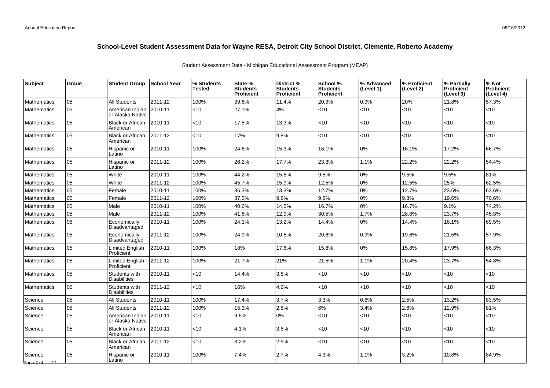| <b>Subject</b>          | Grade | <b>Student Group</b>                 | ∣School Year | % Students<br>Tested | State %<br><b>Students</b><br>Proficient | <b>District %</b><br><b>Students</b><br><b>Proficient</b> | School %<br><b>Students</b><br><b>Proficient</b> | % Advanced<br>(Level 1) | % Proficient<br>(Level 2) | % Partially<br><b>Proficient</b><br>(Level 3) | % Not<br>Proficient<br>(Level 4) |
|-------------------------|-------|--------------------------------------|--------------|----------------------|------------------------------------------|-----------------------------------------------------------|--------------------------------------------------|-------------------------|---------------------------|-----------------------------------------------|----------------------------------|
| <b>Mathematics</b>      | 05    | <b>All Students</b>                  | 2011-12      | 100%                 | 39.6%                                    | 11.4%                                                     | 20.9%                                            | 0.9%                    | 20%                       | 21.8%                                         | 57.3%                            |
| <b>Mathematics</b>      | 05    | American Indian<br>or Alaska Native  | 2010-11      | $<$ 10               | 27.1%                                    | 4%                                                        | <10                                              | <10                     | <10                       | <10                                           | $<$ 10                           |
| <b>Mathematics</b>      | 05    | <b>Black or African</b><br>American  | 2010-11      | $<$ 10               | 17.5%                                    | 13.3%                                                     | <10                                              | <10                     | <10                       | <10                                           | $<$ 10                           |
| <b>Mathematics</b>      | 05    | <b>Black or African</b><br>American  | 2011-12      | < 10                 | 17%                                      | 9.8%                                                      | <10                                              | $<$ 10                  | <10                       | <10                                           | $<$ 10                           |
| <b>Mathematics</b>      | 05    | Hispanic or<br>Latino                | 2010-11      | 100%                 | 24.6%                                    | 15.3%                                                     | 16.1%                                            | 0%                      | 16.1%                     | 17.2%                                         | 66.7%                            |
| <b>Mathematics</b>      | 05    | Hispanic or<br>Latino                | 2011-12      | 100%                 | 26.2%                                    | 17.7%                                                     | 23.3%                                            | 1.1%                    | 22.2%                     | 22.2%                                         | 54.4%                            |
| <b>Mathematics</b>      | 05    | White                                | 2010-11      | 100%                 | 44.2%                                    | 15.8%                                                     | 9.5%                                             | 0%                      | 9.5%                      | 9.5%                                          | 81%                              |
| <b>Mathematics</b>      | 05    | White                                | 2011-12      | 100%                 | 45.7%                                    | 15.9%                                                     | 12.5%                                            | 0%                      | 12.5%                     | 25%                                           | 62.5%                            |
| <b>Mathematics</b>      | 05    | Female                               | 2010-11      | 100%                 | 36.3%                                    | 13.3%                                                     | 12.7%                                            | 0%                      | 12.7%                     | 23.6%                                         | 63.6%                            |
| <b>Mathematics</b>      | 05    | Female                               | 2011-12      | 100%                 | 37.5%                                    | 9.8%                                                      | 9.8%                                             | 0%                      | 9.8%                      | 19.6%                                         | 70.6%                            |
| <b>Mathematics</b>      | 05    | Male                                 | 2010-11      | 100%                 | 40.6%                                    | 14.5%                                                     | 16.7%                                            | 0%                      | 16.7%                     | 9.1%                                          | 74.2%                            |
| <b>Mathematics</b>      | 05    | Male                                 | 2011-12      | 100%                 | 41.6%                                    | 12.9%                                                     | 30.5%                                            | 1.7%                    | 28.8%                     | 23.7%                                         | 45.8%                            |
| <b>Mathematics</b>      | 05    | Economically<br>Disadvantaged        | 2010-11      | 100%                 | 24.1%                                    | 13.2%                                                     | 14.4%                                            | 0%                      | 14.4%                     | 16.1%                                         | 69.5%                            |
| <b>Mathematics</b>      | 05    | Economically<br>Disadvantaged        | 2011-12      | 100%                 | 24.9%                                    | 10.8%                                                     | 20.6%                                            | 0.9%                    | 19.6%                     | 21.5%                                         | 57.9%                            |
| <b>Mathematics</b>      | 05    | <b>Limited English</b><br>Proficient | 2010-11      | 100%                 | 18%                                      | 17.6%                                                     | 15.8%                                            | 0%                      | 15.8%                     | 17.9%                                         | 66.3%                            |
| <b>Mathematics</b>      | 05    | <b>Limited English</b><br>Proficient | 2011-12      | 100%                 | 21.7%                                    | 21%                                                       | 21.5%                                            | 1.1%                    | 20.4%                     | 23.7%                                         | 54.8%                            |
| <b>Mathematics</b>      | 05    | Students with<br><b>Disabilities</b> | 2010-11      | $<$ 10               | 14.4%                                    | 3.8%                                                      | <10                                              | <10                     | <10                       | <10                                           | $<$ 10                           |
| <b>Mathematics</b>      | 05    | Students with<br><b>Disabilities</b> | 2011-12      | $<$ 10               | 16%                                      | 4.9%                                                      | <10                                              | $<$ 10                  | <10                       | <10                                           | $<$ 10                           |
| Science                 | 05    | All Students                         | 2010-11      | 100%                 | 17.4%                                    | 3.7%                                                      | 3.3%                                             | 0.8%                    | 2.5%                      | 13.2%                                         | 83.5%                            |
| Science                 | 05    | <b>All Students</b>                  | 2011-12      | 100%                 | 15.3%                                    | 2.8%                                                      | 6%                                               | 3.4%                    | 2.6%                      | 12.9%                                         | 81%                              |
| Science                 | 05    | American Indian<br>or Alaska Native  | 2010-11      | $<$ 10               | 9.6%                                     | $0\%$                                                     | <10                                              | <10                     | <10                       | $<$ 10                                        | $<$ 10                           |
| Science                 | 05    | <b>Black or African</b><br>American  | 2010-11      | < 10                 | 4.1%                                     | 3.8%                                                      | <10                                              | $<$ 10                  | $<$ 10                    | <10                                           | $<$ 10                           |
| Science                 | 05    | <b>Black or African</b><br>American  | 2011-12      | < 10                 | 3.2%                                     | 2.9%                                                      | <10                                              | $<$ 10                  | <10                       | <10                                           | $<$ 10                           |
| Science<br>Page 7 of 14 | 05    | Hispanic or<br>Latino                | 2010-11      | 100%                 | 7.4%                                     | 2.7%                                                      | 4.3%                                             | 1.1%                    | 3.2%                      | 10.8%                                         | 84.9%                            |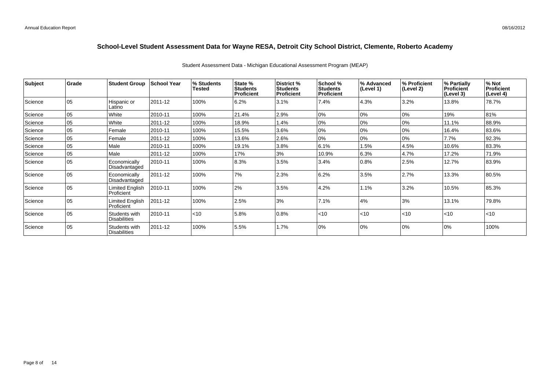| <b>Subject</b> | <b>Grade</b> | <b>Student Group</b>                 | <b>School Year</b> | % Students<br><b>Tested</b> | State %<br>Students<br><b>Proficient</b> | District %<br><b>Students</b><br><b>Proficient</b> | School %<br><b>Students</b><br><b>Proficient</b> | % Advanced<br>$ $ (Level 1) | % Proficient<br>(Level 2) | % Partially<br>Proficient<br>(Level 3) | % Not<br><b>Proficient</b><br>(Level 4) |
|----------------|--------------|--------------------------------------|--------------------|-----------------------------|------------------------------------------|----------------------------------------------------|--------------------------------------------------|-----------------------------|---------------------------|----------------------------------------|-----------------------------------------|
| Science        | 05           | Hispanic or<br>Latino                | 2011-12            | 100%                        | 6.2%                                     | 3.1%                                               | 7.4%                                             | 4.3%                        | 3.2%                      | 13.8%                                  | 78.7%                                   |
| Science        | 05           | White                                | 2010-11            | 100%                        | 21.4%                                    | 2.9%                                               | 0%                                               | 0%                          | 0%                        | 19%                                    | 81%                                     |
| Science        | 05           | White                                | 2011-12            | 100%                        | 18.9%                                    | 1.4%                                               | 0%                                               | $ 0\%$                      | 0%                        | 11.1%                                  | 88.9%                                   |
| Science        | 05           | Female                               | 2010-11            | 100%                        | 15.5%                                    | 3.6%                                               | 0%                                               | 0%                          | 0%                        | 16.4%                                  | 83.6%                                   |
| Science        | 05           | Female                               | 2011-12            | 100%                        | 13.6%                                    | 2.6%                                               | 0%                                               | 0%                          | 0%                        | 7.7%                                   | 92.3%                                   |
| Science        | 05           | Male                                 | 2010-11            | 100%                        | 19.1%                                    | 3.8%                                               | 6.1%                                             | 1.5%                        | 4.5%                      | 10.6%                                  | 83.3%                                   |
| Science        | 05           | Male                                 | 2011-12            | 100%                        | 17%                                      | 3%                                                 | 10.9%                                            | 6.3%                        | 4.7%                      | 17.2%                                  | 71.9%                                   |
| Science        | 05           | Economically<br>Disadvantaged        | 2010-11            | 100%                        | 8.3%                                     | 3.5%                                               | 3.4%                                             | 0.8%                        | 2.5%                      | 12.7%                                  | 83.9%                                   |
| Science        | 05           | Economically<br>Disadvantaged        | 2011-12            | 100%                        | 7%                                       | 2.3%                                               | 6.2%                                             | 3.5%                        | 2.7%                      | 13.3%                                  | 80.5%                                   |
| Science        | 05           | <b>Limited English</b><br>Proficient | 2010-11            | 100%                        | 2%                                       | 3.5%                                               | 4.2%                                             | 1.1%                        | 3.2%                      | 10.5%                                  | 85.3%                                   |
| Science        | 05           | <b>Limited English</b><br>Proficient | 2011-12            | 100%                        | 2.5%                                     | 3%                                                 | 7.1%                                             | 4%                          | 3%                        | 13.1%                                  | 79.8%                                   |
| Science        | 05           | Students with<br><b>Disabilities</b> | 2010-11            | $ $ < 10                    | 5.8%                                     | 0.8%                                               | < 10                                             | < 10                        | < 10                      | $\leq 10$                              | $<$ 10                                  |
| Science        | 05           | Students with<br><b>Disabilities</b> | 2011-12            | 100%                        | 5.5%                                     | 1.7%                                               | 10%                                              | 10%                         | 0%                        | 10%                                    | 100%                                    |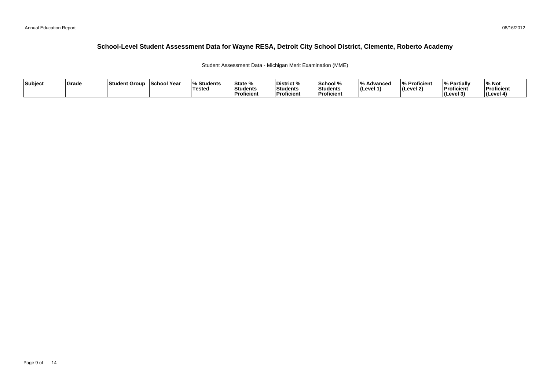Student Assessment Data - Michigan Merit Examination (MME)

| Subject | <b>Grade</b> | ⊺Student Group | School Year | <b>Students</b> I% Students<br><b>Tested</b> | State %<br><u>ы.</u><br><b>Students</b><br><b>Proficient</b> | District %<br>Students<br>Proficient | 'School %<br>Students<br>Proficient | . n<br>Advanced<br>$ $ (Level 1) | % Proficient<br>l (Level 2) | ' Partially<br>'% :<br>Proficient<br>(Level 3) | '% Not<br>Proficient<br>(Level 4) |
|---------|--------------|----------------|-------------|----------------------------------------------|--------------------------------------------------------------|--------------------------------------|-------------------------------------|----------------------------------|-----------------------------|------------------------------------------------|-----------------------------------|
|---------|--------------|----------------|-------------|----------------------------------------------|--------------------------------------------------------------|--------------------------------------|-------------------------------------|----------------------------------|-----------------------------|------------------------------------------------|-----------------------------------|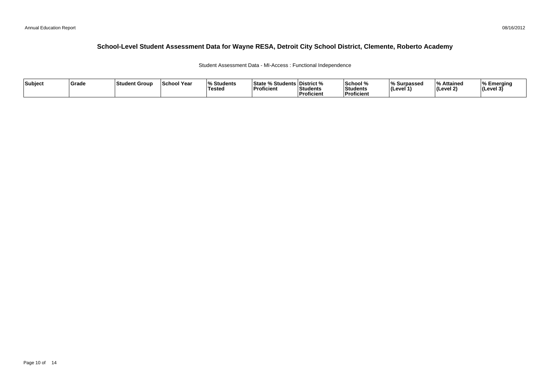#### 08/16/2012

### **School-Level Student Assessment Data for Wayne RESA, Detroit City School District, Clemente, Roberto Academy**

Student Assessment Data - MI-Access : Functional Independence

| Subject | Grade | ∣Student Group | <b>School Year</b> | $\mathbf{a}$<br>Students<br><b>Tested</b> | State % Stu<br>studen•r<br>Proficient | District %<br>Students<br>Proficient | ∣School %<br>Students<br>l Proficient | Surpassed<br>∣ (Level 1 | % Attained<br>∣(Level 2) | e Emerging ه.<br>$ $ (Level 3) |
|---------|-------|----------------|--------------------|-------------------------------------------|---------------------------------------|--------------------------------------|---------------------------------------|-------------------------|--------------------------|--------------------------------|
|---------|-------|----------------|--------------------|-------------------------------------------|---------------------------------------|--------------------------------------|---------------------------------------|-------------------------|--------------------------|--------------------------------|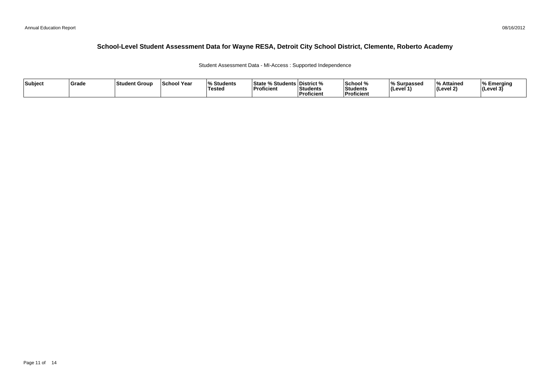#### 08/16/2012

### **School-Level Student Assessment Data for Wayne RESA, Detroit City School District, Clemente, Roberto Academy**

Student Assessment Data - MI-Access : Supported Independence

| Subject | Grade | ˈStuder.<br>` Group | School Year | <b>Students</b><br>Tested | <sup>_o</sup> ′∿ Students ∟<br>' Star<br><b>Proficient</b> | District %<br>Students<br>Proficient | School %<br>Students<br>Proficien | ∧ Surpasser'<br>⊺l (Level 1 | Attained<br>(Level 2) | Emerging ،<br>∣(Level |
|---------|-------|---------------------|-------------|---------------------------|------------------------------------------------------------|--------------------------------------|-----------------------------------|-----------------------------|-----------------------|-----------------------|
|---------|-------|---------------------|-------------|---------------------------|------------------------------------------------------------|--------------------------------------|-----------------------------------|-----------------------------|-----------------------|-----------------------|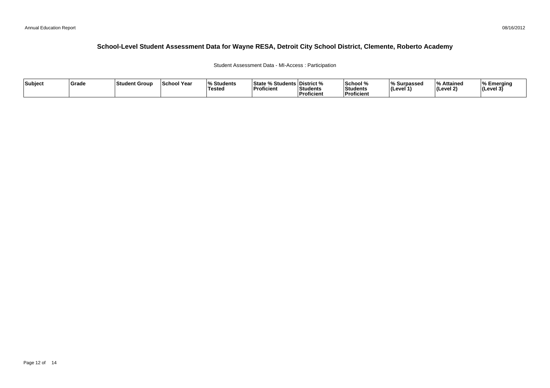### Student Assessment Data - MI-Access : Participation

| Subject | ∣Grade | <b>Student Group</b> | <b>School Year</b> | Students<br><b>Tested</b> | <b>State % Students District %</b><br>$\mathbf{r}$<br>Proficient | Students<br>Proficient | School %<br>Students<br><b>Proficient</b> | % Surpassed<br>(Level | % Attained<br>$ $ (Level 2) | ⊺% Emerging<br> (Level 3) |
|---------|--------|----------------------|--------------------|---------------------------|------------------------------------------------------------------|------------------------|-------------------------------------------|-----------------------|-----------------------------|---------------------------|
|---------|--------|----------------------|--------------------|---------------------------|------------------------------------------------------------------|------------------------|-------------------------------------------|-----------------------|-----------------------------|---------------------------|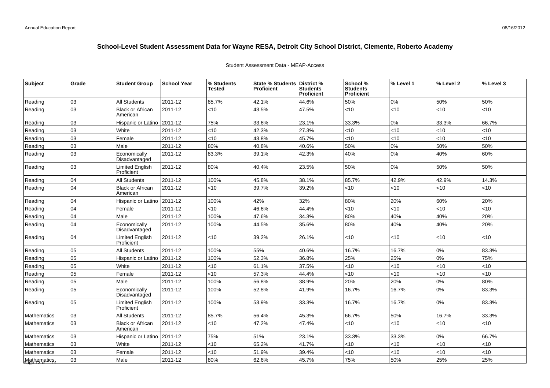Mathematics<br>Page 13 of the

<sup>03</sup>

3 Male 2011-12 80%

### **School-Level Student Assessment Data for Wayne RESA, Detroit City School District, Clemente, Roberto Academy**

**Subject Grade Student Group School Year % Students TestedState % StudentsDistrict %Proficient Students ProficientSchool % Students Proficient% Level 1 % Level 2 % Level 3** Reading <sup>03</sup> All Students 2011-12 85.7% 42.1% 44.6% 50% 0% 50% 50% Reading03 Black or African American <sup>03</sup> Hispanic or Latino 2011-12 75%2011-12 <10 43.5%% |47.5% | <10 | <10 | <10 | <10 | <10 | <10 Reading 33.6% 23.1% 33.3% 0% 33.3% 66.7% Reading <sup>03</sup> White 2011-12 <10 42.3% 27.3% <10 <10 <10 <10 Reading <sup>03</sup> Female 2011-12 <10 43.8%45.7% <10 <10 <10 <10 <10 <10 <10 <10  $\frac{1}{2}$ Reading <sup>03</sup> Male 2011-12 80% $\frac{\%}{\%}$  40.8% 40.6% 50% 50% 50% 50% 50% 50% Reading03 **Exercise** Economically **Disadvantaged**  <sup>03</sup> Limited English 2011-12 83.3%% 39.1% 42.3% 40%  $\vert$  40%  $\vert$  0%  $\vert$  40%  $\vert$  60% ReadingProficient2011-12 80%%  $40.4\%$  23.5% 50%  $0\%$  50% 50% 50% Reading <sup>04</sup> All Students 2011-12 100%<u>45.8% 138.1% 85.7% 142.9% 142.9% 143.3%</u><br>Constitution of the second constitution of the second constitution of the second constitution of the second co Reading04 Black or African Americang 100% 169 Hispanic or Latino 2011-12 100% 2011-12 <10 39.7%% | 39.2% | <10 | <10 | <10 | <10 | <10 | <10 Reading 42% 32% 80% 20% 60% 20% Reading <sup>04</sup> Female 2011-12 <10 46.6% 44.4% <10 <10 <10 <10 Reading <sup>04</sup> Male 2011-12 100% 47.6% 34.3% 80% 40% 40% 20% Reading04 **Economically** Disadvantaged <sup>04</sup> Limited English 2011-12 100%%  $44.5\%$  35.6% 80% 40% 40% 40% 20% ReadingProficient2011-12 <10 39.2% 26.1% <10 <10 <10 <10 Reading05 All Students 2011-12 100%<br>05 Hispanic or Latino 2011-12 100% 55% 40.6% 16.7% 16.7% 0% 83.3% Reading05 Hispanic or Latino 2011-12 100<br>05 White 2011-12 <10 52.3% 36.8% 25% 25% 0% 75% Reading <sup>05</sup> White 2011-12 <10 61.1% 37.5% <10 <10 <10 <10 Reading <sup>05</sup> Female 2011-12 <10 57.3% 44.4% <10 <10 <10 <10 Readingg |05 |Male |2011-12 |100% 56.8% 38.9% 20% 20% 0% 80% Reading05 **Economically** Disadvantaged <sup>05</sup> Limited English 2011-12 100%% | 52.8% | 41.9% | 16.7% | 16.7% | 0% | 83.3% ReadingProficient2011-12 100%% |  $53.9\%$  |  $33.3\%$  |  $16.7\%$  |  $16.7\%$  |  $0\%$  |  $0\%$  |  $83.3\%$ **Mathematics**  <sup>03</sup>All Students 2011-12 85.7% 56.4% 45.3% 66.7% 50% 16.7% 33.3% **Mathematics**  <sup>03</sup>**Black or African** American3 Hispanic or Latino 2011-12 75% 2011-12 <10 47.2%% | 47.4% | <10 | <10 | <10 | <10 | <10 | <10 Mathematics <sup>03</sup> 51% 23.1% 33.3% 33.3% 0% 66.7% Mathematics <sup>03</sup> White 2011-12 <10 65.2% 41.7% <10 <10 <10 <10 **Mathematics**  <sup>03</sup> Female 2011-12 <10 51.9%39.4% <10 <10 <10 <10

Mathematics |03 |Male | |2011-12 |80% | |62.6% | 45.7% | |75% | |50% | |25% | |25% | |25%<br>Page 13 of 13 of 13 of 13 of 13 of 13 of 13 of 13 of 13 of 13 of 13 of 13 of 13 of 13 of 13 of 13 of 13 of 14<br>--------------------

Student Assessment Data - MEAP-Access